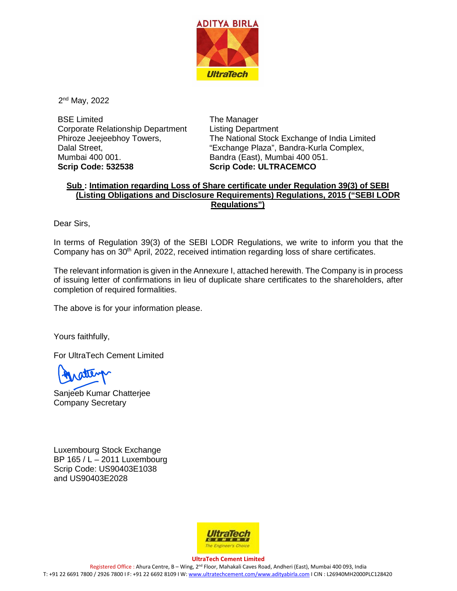

2nd May, 2022

BSE Limited Corporate Relationship Department Phiroze Jeejeebhoy Towers, Dalal Street, Mumbai 400 001. **Scrip Code: 532538**

The Manager Listing Department The National Stock Exchange of India Limited "Exchange Plaza", Bandra-Kurla Complex, Bandra (East), Mumbai 400 051. **Scrip Code: ULTRACEMCO**

## **Sub : Intimation regarding Loss of Share certificate under Regulation 39(3) of SEBI (Listing Obligations and Disclosure Requirements) Regulations, 2015 ("SEBI LODR Regulations")**

Dear Sirs,

In terms of Regulation 39(3) of the SEBI LODR Regulations, we write to inform you that the Company has on 30<sup>th</sup> April, 2022, received intimation regarding loss of share certificates.

The relevant information is given in the Annexure I, attached herewith. The Company is in process of issuing letter of confirmations in lieu of duplicate share certificates to the shareholders, after completion of required formalities.

The above is for your information please.

Yours faithfully,

For UltraTech Cement Limited

Sanjeeb Kumar Chatterjee Company Secretary

Luxembourg Stock Exchange BP 165 / L – 2011 Luxembourg Scrip Code: US90403E1038 and US90403E2028



**UltraTech Cement Limited** Registered Office : Ahura Centre, B – Wing, 2nd Floor, Mahakali Caves Road, Andheri (East), Mumbai 400 093, India T: +91 22 6691 7800 / 2926 7800 I F: +91 22 6692 8109 I W[: www.ultratechcement.com/www.adityabirla.com](http://www.ultratechcement.com/www.adityabirla.com) I CIN : L26940MH2000PLC128420